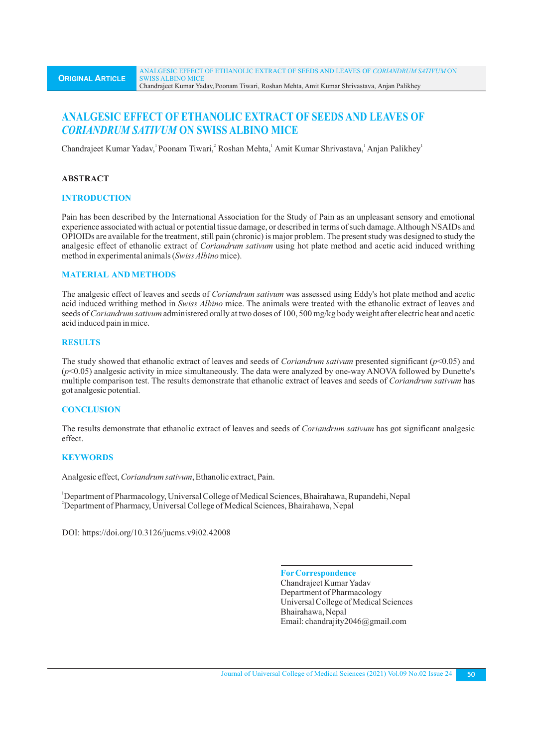# **ANALGESIC EFFECT OF ETHANOLIC EXTRACT OF SEEDS AND LEAVES OF** *CORIANDRUM SATIVUM* **ON SWISS ALBINO MICE**

Chandrajeet Kumar Yadav, Poonam Tiwari, Roshan Mehta, Amit Kumar Shrivastava, Anjan Palikhey

# **ABSTRACT**

# **INTRODUCTION**

Pain has been described by the International Association for the Study of Pain as an unpleasant sensory and emotional experience associated with actual or potential tissue damage, or described in terms of such damage. Although NSAIDs and OPIOIDs are available for the treatment, still pain (chronic) is major problem. The present study was designed to study the analgesic effect of ethanolic extract of *Coriandrum sativum* using hot plate method and acetic acid induced writhing method in experimental animals (*Swiss Albino*mice).

# **MATERIAL AND METHODS**

The analgesic effect of leaves and seeds of *Coriandrum sativum* was assessed using Eddy's hot plate method and acetic acid induced writhing method in *Swiss Albino* mice. The animals were treated with the ethanolic extract of leaves and seeds of *Coriandrum sativum* administered orally at two doses of 100, 500 mg/kg body weight after electric heat and acetic acid induced pain in mice.

# **RESULTS**

The study showed that ethanolic extract of leaves and seeds of *Coriandrum sativum* presented significant (*p*<0.05) and (*p*<0.05) analgesic activity in mice simultaneously. The data were analyzed by one-way ANOVA followed by Dunette's multiple comparison test. The results demonstrate that ethanolic extract of leaves and seeds of *Coriandrum sativum* has got analgesic potential.

## **CONCLUSION**

The results demonstrate that ethanolic extract of leaves and seeds of *Coriandrum sativum* has got significant analgesic effect.

## **KEYWORDS**

Analgesic effect, *Coriandrum sativum*, Ethanolic extract, Pain.

<sup>1</sup>Department of Pharmacology, Universal College of Medical Sciences, Bhairahawa, Rupandehi, Nepal <sup>2</sup>Department of Pharmacy, Universal College of Medical Sciences, Bhairahawa, Nepal

DOI: https://doi.org/10.3126/jucms.v9i02.42008

**For Correspondence** Chandrajeet Kumar Yadav Department of Pharmacology Universal College of Medical Sciences Bhairahawa, Nepal Email: chandrajity2046@gmail.com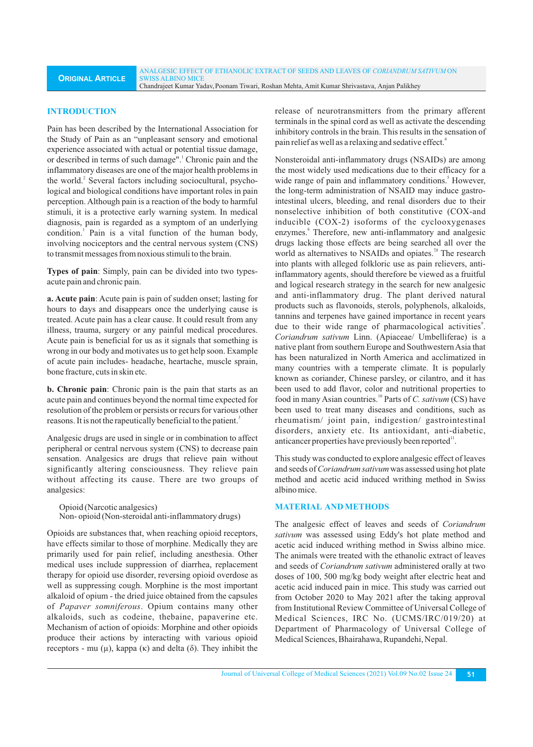# **INTRODUCTION**

**ORIGINAL ARTICLE**

Pain has been described by the International Association for the Study of Pain as an "unpleasant sensory and emotional experience associated with actual or potential tissue damage, or described in terms of such damage".<sup>1</sup> Chronic pain and the inflammatory diseases are one of the major health problems in the world.<sup>2</sup> Several factors including sociocultural, psychological and biological conditions have important roles in pain perception. Although pain is a reaction of the body to harmful stimuli, it is a protective early warning system. In medical diagnosis, pain is regarded as a symptom of an underlying condition.<sup>1</sup> Pain is a vital function of the human body, involving nociceptors and the central nervous system (CNS) to transmit messages from noxious stimuli to the brain.

**Types of pain**: Simply, pain can be divided into two typesacute pain and chronic pain.

**a. Acute pain**: Acute pain is pain of sudden onset; lasting for hours to days and disappears once the underlying cause is treated. Acute pain has a clear cause. It could result from any illness, trauma, surgery or any painful medical procedures. Acute pain is beneficial for us as it signals that something is wrong in our body and motivates us to get help soon. Example of acute pain includes- headache, heartache, muscle sprain, bone fracture, cuts in skin etc.

**b. Chronic pain**: Chronic pain is the pain that starts as an acute pain and continues beyond the normal time expected for resolution of the problem or persists or recurs for various other reasons. It is not the rapeutically beneficial to the patient.<sup>3</sup>

Analgesic drugs are used in single or in combination to affect peripheral or central nervous system (CNS) to decrease pain sensation. Analgesics are drugs that relieve pain without significantly altering consciousness. They relieve pain without affecting its cause. There are two groups of analgesics:

Opioid (Narcotic analgesics) Non- opioid (Non-steroidal anti-inflammatory drugs)

Opioids are substances that, when reaching opioid receptors, have effects similar to those of morphine. Medically they are primarily used for pain relief, including anesthesia. Other medical uses include suppression of diarrhea, replacement therapy for opioid use disorder, reversing opioid overdose as well as suppressing cough. Morphine is the most important alkaloid of opium - the dried juice obtained from the capsules of *Papaver somniferous*. Opium contains many other alkaloids, such as codeine, thebaine, papaverine etc. Mechanism of action of opioids: Morphine and other opioids produce their actions by interacting with various opioid receptors - mu (μ), kappa (κ) and delta (δ). They inhibit the release of neurotransmitters from the primary afferent terminals in the spinal cord as well as activate the descending inhibitory controls in the brain. This results in the sensation of pain relief as well as a relaxing and sedative effect.<sup>4</sup>

Nonsteroidal anti-inflammatory drugs (NSAIDs) are among the most widely used medications due to their efficacy for a wide range of pain and inflammatory conditions.<sup>5</sup> However, the long-term administration of NSAID may induce gastrointestinal ulcers, bleeding, and renal disorders due to their nonselective inhibition of both constitutive (COX-and inducible (COX-2) isoforms of the cyclooxygenases enzymes.<sup>6</sup> Therefore, new anti-inflammatory and analgesic drugs lacking those effects are being searched all over the world as alternatives to NSAIDs and opiates.<sup>78</sup> The research into plants with alleged folkloric use as pain relievers, antiinflammatory agents, should therefore be viewed as a fruitful and logical research strategy in the search for new analgesic and anti-inflammatory drug. The plant derived natural products such as flavonoids, sterols, polyphenols, alkaloids, tannins and terpenes have gained importance in recent years due to their wide range of pharmacological activities<sup>9</sup>. *Coriandrum sativum* Linn. (Apiaceae/ Umbelliferae) is a native plant from southern Europe and Southwestern Asia that has been naturalized in North America and acclimatized in many countries with a temperate climate. It is popularly known as coriander, Chinese parsley, or cilantro, and it has been used to add flavor, color and nutritional properties to food in many Asian countries.<sup>10</sup> Parts of *C. sativum* (CS) have been used to treat many diseases and conditions, such as rheumatism/ joint pain, indigestion/ gastrointestinal disorders, anxiety etc. Its antioxidant, anti-diabetic, anticancer properties have previously been reported".

This study was conducted to explore analgesic effect of leaves and seeds of *Coriandrum sativum* was assessed using hot plate method and acetic acid induced writhing method in Swiss albino mice.

#### **MATERIAL AND METHODS**

The analgesic effect of leaves and seeds of *Coriandrum sativum* was assessed using Eddy's hot plate method and acetic acid induced writhing method in Swiss albino mice. The animals were treated with the ethanolic extract of leaves and seeds of *Coriandrum sativum* administered orally at two doses of 100, 500 mg/kg body weight after electric heat and acetic acid induced pain in mice. This study was carried out from October 2020 to May 2021 after the taking approval from Institutional Review Committee of Universal College of Medical Sciences, IRC No. (UCMS/IRC/019/20) at Department of Pharmacology of Universal College of Medical Sciences, Bhairahawa, Rupandehi, Nepal.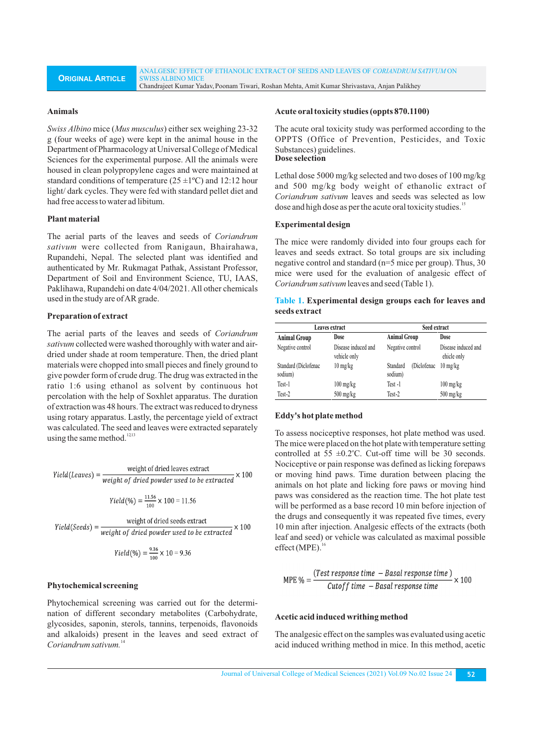#### **Animals**

*Swiss Albino* mice (*Mus musculus*) either sex weighing 23-32 g (four weeks of age) were kept in the animal house in the Department of Pharmacology at Universal College of Medical Sciences for the experimental purpose. All the animals were housed in clean polypropylene cages and were maintained at standard conditions of temperature ( $25 \pm 1$ °C) and 12:12 hour light/ dark cycles. They were fed with standard pellet diet and had free access to water ad libitum.

#### **Plant material**

The aerial parts of the leaves and seeds of *Coriandrum sativum* were collected from Ranigaun, Bhairahawa, Rupandehi, Nepal. The selected plant was identified and authenticated by Mr. Rukmagat Pathak, Assistant Professor, Department of Soil and Environment Science, TU, IAAS, Paklihawa, Rupandehi on date 4/04/2021. All other chemicals used in the study are of AR grade.

#### **Preparation of extract**

The aerial parts of the leaves and seeds of *Coriandrum sativum* collected were washed thoroughly with water and airdried under shade at room temperature. Then, the dried plant materials were chopped into small pieces and finely ground to give powder form of crude drug. The drug was extracted in the ratio 1:6 using ethanol as solvent by continuous hot percolation with the help of Soxhlet apparatus. The duration of extraction was 48 hours. The extract was reduced to dryness using rotary apparatus. Lastly, the percentage yield of extract was calculated. The seed and leaves were extracted separately using the same method.<sup>1213</sup>

$$
Yield(Leaves) = \frac{\text{weight of dried leaves extract}}{\text{weight of dried powder used to be extracted}} \times 100
$$

$$
Yield(\%) = \frac{11.56}{100} \times 100 = 11.56
$$

$$
Yield(Seds) = \frac{\text{weight of dried seeds extract}}{\text{weight of dried powder used to be extracted}} \times 100
$$

$$
Yield(\%) = \frac{9.36}{100} \times 10 = 9.36
$$

# **Phytochemical screening**

Phytochemical screening was carried out for the determination of different secondary metabolites (Carbohydrate, glycosides, saponin, sterols, tannins, terpenoids, flavonoids and alkaloids) present in the leaves and seed extract of <sup>14</sup> *Coriandrum sativum.*

#### **Acute oral toxicity studies (oppts 870.1100)**

The acute oral toxicity study was performed according to the OPPTS (Office of Prevention, Pesticides, and Toxic Substances) guidelines.

# **Dose selection**

Lethal dose 5000 mg/kg selected and two doses of 100 mg/kg and 500 mg/kg body weight of ethanolic extract of *Coriandrum sativum* leaves and seeds was selected as low dose and high dose as per the acute oral toxicity studies.<sup>15</sup>

#### **Experimental design**

The mice were randomly divided into four groups each for leaves and seeds extract. So total groups are six including negative control and standard (n=5 mice per group). Thus, 30 mice were used for the evaluation of analgesic effect of *Coriandrum sativum* leaves and seed (Table 1).

| Table 1. Experimental design groups each for leaves and |  |  |  |
|---------------------------------------------------------|--|--|--|
| seeds extract                                           |  |  |  |

|                                 | Leaves extract                      | Seed extract                        |                                    |  |  |
|---------------------------------|-------------------------------------|-------------------------------------|------------------------------------|--|--|
| <b>Animal Group</b>             | Dose                                | <b>Animal Group</b>                 | Dose                               |  |  |
| Negative control                | Disease induced and<br>vehicle only | Negative control                    | Disease induced and<br>ehicle only |  |  |
| Standard (Diclofenac<br>sodium) | $10 \text{ mg/kg}$                  | (Diclofenac)<br>Standard<br>sodium) | $10 \text{ mg/kg}$                 |  |  |
| Test-1                          | $100 \,\mathrm{mg/kg}$              | Test -1                             | $100 \text{ mg/kg}$                |  |  |
| Test-2                          | $500$ mg/kg                         | Test-2                              | $500$ mg/kg                        |  |  |

#### **Eddy's hot plate method**

To assess nociceptive responses, hot plate method was used. The mice were placed on the hot plate with temperature setting controlled at 55  $\pm$ 0.2°C. Cut-off time will be 30 seconds. Nociceptive or pain response was defined as licking forepaws or moving hind paws. Time duration between placing the animals on hot plate and licking fore paws or moving hind paws was considered as the reaction time. The hot plate test will be performed as a base record 10 min before injection of the drugs and consequently it was repeated five times, every 10 min after injection. Analgesic effects of the extracts (both leaf and seed) or vehicle was calculated as maximal possible effect (MPE). $16$ 

$$
MPE \% = \frac{(Test response time - Basal response time)}{Cutoff time - Basal response time} \times 100
$$

#### **Acetic acid induced writhing method**

The analgesic effect on the samples was evaluated using acetic acid induced writhing method in mice. In this method, acetic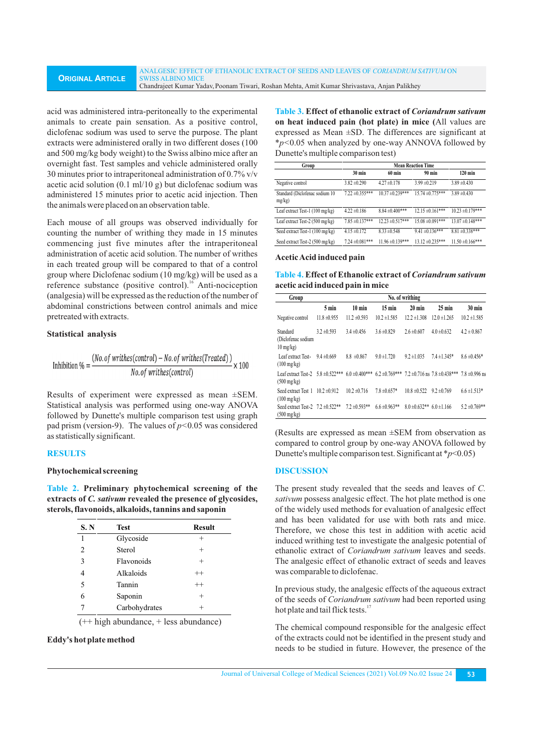#### **ORIGINAL ARTICLE** ANALGESIC EFFECT OF ETHANOLIC EXTRACT OF SEEDS AND LEAVES OF *CORIANDRUM SATIVUM* ON SWISS ALBINO MICE Chandrajeet Kumar Yadav,Poonam Tiwari, Roshan Mehta, Amit Kumar Shrivastava, Anjan Palikhey

acid was administered intra-peritoneally to the experimental animals to create pain sensation. As a positive control, diclofenac sodium was used to serve the purpose. The plant extracts were administered orally in two different doses (100 and 500 mg/kg body weight) to the Swiss albino mice after an overnight fast. Test samples and vehicle administered orally 30 minutes prior to intraperitoneal administration of 0.7% v/v acetic acid solution (0.1 ml/10 g) but diclofenac sodium was administered 15 minutes prior to acetic acid injection. Then the animals were placed on an observation table.

Each mouse of all groups was observed individually for counting the number of writhing they made in 15 minutes commencing just five minutes after the intraperitoneal administration of acetic acid solution. The number of writhes in each treated group will be compared to that of a control group where Diclofenac sodium (10 mg/kg) will be used as a reference substance (positive control).<sup>16</sup> Anti-nociception (analgesia) will be expressed as the reduction of the number of abdominal constrictions between control animals and mice pretreated with extracts.

# **Statistical analysis**

Inhibition 
$$
\% = \frac{(No. of writhes(control) - No. of writhes(Treated))}{No. of writhes(control)} \times 100
$$

Results of experiment were expressed as mean ±SEM. Statistical analysis was performed using one-way ANOVA followed by Dunette's multiple comparison test using graph pad prism (version-9). The values of *p˂*0.05 was considered as statistically significant.

## **RESULTS**

#### **Phytochemical screening**

**Table 2. Preliminary phytochemical screening of the extracts of** *C. sativum* **revealed the presence of glycosides, sterols, flavonoids, alkaloids, tannins and saponin**

| S. N                     | <b>Test</b>   | <b>Result</b> |
|--------------------------|---------------|---------------|
| 1                        | Glycoside     | $^{+}$        |
| $\mathfrak{D}_{1}^{(1)}$ | Sterol        | $^+$          |
| 3                        | Flavonoids    | $^{+}$        |
|                          | Alkaloids     | $^{++}$       |
| 5                        | Tannin        | $++$          |
| 6                        | Saponin       | $^{+}$        |
|                          | Carbohydrates | $^+$          |

(++ high abundance, + less abundance)

#### **Eddy's hot plate method**

**Table 3. Effect of ethanolic extract of** *Coriandrum sativum* **on heat induced pain (hot plate) in mice (**All values are expressed as Mean ±SD. The differences are significant at \**p˂*0.05 when analyzed by one-way ANNOVA followed by Dunette's multiple comparison test)

| Group                                       | <b>Mean Reaction Time</b> |                      |                      |                       |  |  |
|---------------------------------------------|---------------------------|----------------------|----------------------|-----------------------|--|--|
|                                             | $30 \text{ min}$          | $60 \text{ min}$     | 90 min               | $120 \text{ min}$     |  |  |
| Negative control                            | $3.82 \pm 0.290$          | $4.27 \pm 0.178$     | $3.99 \pm 0.219$     | $3.89 \pm 0.430$      |  |  |
| Standard (Diclofenac sodium 10<br>$mg/kg$ ) | $7.22 \pm 0.355***$       | $10.37 \pm 0.239***$ | $15.74 \pm 0.775***$ | $3.89 \pm 0.430$      |  |  |
| Leaf extract Test-1 (100 mg/kg)             | $4.22 \pm 0.186$          | $8.84 \pm 0.400$ *** | $12.15 \pm 0.161***$ | $10.23 \pm 0.179***$  |  |  |
| Leaf extract Test-2 (500 mg/kg)             | $7.85 \pm 0.137***$       | $12.23 \pm 0.517***$ | $15.08 \pm 0.091***$ | $13.07 \pm 0.148***$  |  |  |
| Seed extract Test-1 (100 mg/kg)             | $4.15 \pm 0.172$          | $8.33 \pm 0.548$     | $9.41 \pm 0.136***$  | $8.81 \pm 0.338***$   |  |  |
| Seed extract Test-2 (500 mg/kg)             | $7.24 \pm 0.081***$       | $11.96 \pm 0.139***$ | $13.12 \pm 0.235***$ | $11.50 \pm 0.166$ *** |  |  |

**Acetic Acid induced pain** 

**Table 4. Effect of Ethanolic extract of** *Coriandrum sativum* **acetic acid induced pain in mice**

| Group                                                                                                                                                          |                  |                   |                    |                                   |                  |                   |
|----------------------------------------------------------------------------------------------------------------------------------------------------------------|------------------|-------------------|--------------------|-----------------------------------|------------------|-------------------|
|                                                                                                                                                                | $5 \text{ min}$  | $10 \text{ min}$  | $15 \text{ min}$   | $20 \text{ min}$                  | $25 \text{ min}$ | $30 \text{ min}$  |
| Negative control                                                                                                                                               | $11.8 \pm 0.955$ | $11.2 \pm 0.593$  | $10.2 \pm 1.585$   | $12.2 \pm 1.308$                  | $12.0 \pm 1.265$ | $10.2 \pm 1.585$  |
| Standard<br>(Diclofenac sodium<br>$10 \text{ mg/kg}$                                                                                                           | $3.2 \pm 0.593$  | $3.4 \pm 0.456$   | $3.6 \pm 0.829$    | $2.6 \pm 0.607$                   | $4.0 \pm 0.632$  | $4.2 \pm 0.867$   |
| Leaf extract Test-<br>$(100 \text{ mg/kg})$                                                                                                                    | $9.4 \pm 0.669$  | $8.8 \pm 0.867$   | $9.0 \pm 1.720$    | $9.2 \pm 1.035$                   | $7.4 \pm 1.345*$ | $8.6 \pm 0.456*$  |
| Leaf extract Test-2 5.8 $\pm$ 0.522*** 6.0 $\pm$ 0.400*** 6.2 $\pm$ 0.769*** 7.2 $\pm$ 0.716 ns 7.8 $\pm$ 0.438*** 7.8 $\pm$ 0.996 ns<br>$(500 \text{ mg/kg})$ |                  |                   |                    |                                   |                  |                   |
| Seed extract Test 1<br>$(100 \text{ mg/kg})$                                                                                                                   | $10.2 \pm 0.912$ | $10.2 \pm 0.716$  | $7.8 \pm 0.657*$   | $10.8 \pm 0.522$                  | $9.2 \pm 0.769$  | $6.6 \pm 1.513*$  |
| Seed extract Test-2 $7.2 \pm 0.522**$<br>$(500 \text{ mg/kg})$                                                                                                 |                  | $7.2 \pm 0.593**$ | $6.6 \pm 0.963$ ** | $8.0 \pm 0.632**$ 6.0 $\pm 1.166$ |                  | $5.2 \pm 0.769**$ |

(Results are expressed as mean ±SEM from observation as compared to control group by one-way ANOVA followed by Dunette's multiple comparison test. Significant at  $p<0.05$ )

# **DISCUSSION**

The present study revealed that the seeds and leaves of *C. sativum* possess analgesic effect. The hot plate method is one of the widely used methods for evaluation of analgesic effect and has been validated for use with both rats and mice. Therefore, we chose this test in addition with acetic acid induced writhing test to investigate the analgesic potential of ethanolic extract of *Coriandrum sativum* leaves and seeds. The analgesic effect of ethanolic extract of seeds and leaves was comparable to diclofenac.

In previous study, the analgesic effects of the aqueous extract of the seeds of *Coriandrum sativum* had been reported using hot plate and tail flick tests.<sup>17</sup>

The chemical compound responsible for the analgesic effect of the extracts could not be identified in the present study and needs to be studied in future. However, the presence of the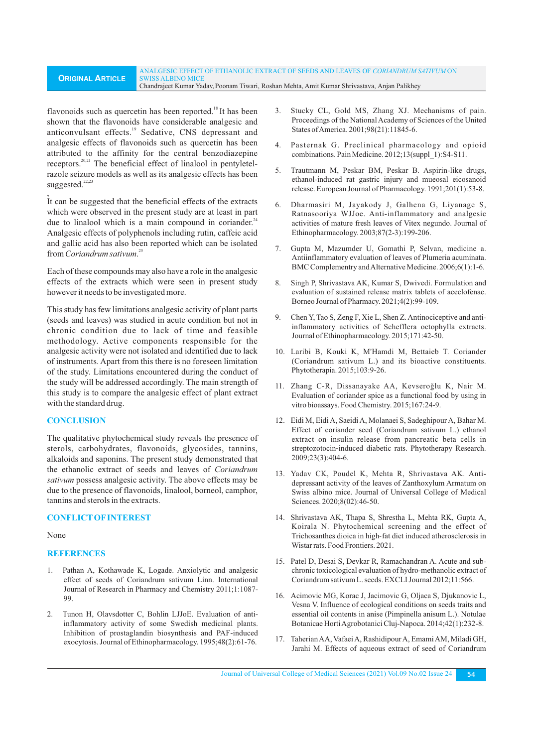#### **ORIGINAL ARTICLE** ANALGESIC EFFECT OF ETHANOLIC EXTRACT OF SEEDS AND LEAVES OF *CORIANDRUM SATIVUM* ON SWISS ALBINO MICE Chandrajeet Kumar Yadav,Poonam Tiwari, Roshan Mehta, Amit Kumar Shrivastava, Anjan Palikhey

flavonoids such as quercetin has been reported.<sup>18</sup> It has been shown that the flavonoids have considerable analgesic and anticonvulsant effects.<sup>19</sup> Sedative, CNS depressant and analgesic effects of flavonoids such as quercetin has been attributed to the affinity for the central benzodiazepine receptors.<sup>20,21</sup> The beneficial effect of linalool in pentyletelrazole seizure models as well as its analgesic effects has been  $suggested.<sup>22,23</sup>$ 

, It can be suggested that the beneficial effects of the extracts which were observed in the present study are at least in part due to linalool which is a main compound in coriander. $24$ Analgesic effects of polyphenols including rutin, caffeic acid and gallic acid has also been reported which can be isolated from *Coriandrum sativum*.<sup>25</sup>

Each of these compounds may also have a role in the analgesic effects of the extracts which were seen in present study however it needs to be investigated more.

This study has few limitations analgesic activity of plant parts (seeds and leaves) was studied in acute condition but not in chronic condition due to lack of time and feasible methodology. Active components responsible for the analgesic activity were not isolated and identified due to lack of instruments. Apart from this there is no foreseen limitation of the study. Limitations encountered during the conduct of the study will be addressed accordingly. The main strength of this study is to compare the analgesic effect of plant extract with the standard drug.

# **CONCLUSION**

The qualitative phytochemical study reveals the presence of sterols, carbohydrates, flavonoids, glycosides, tannins, alkaloids and saponins. The present study demonstrated that the ethanolic extract of seeds and leaves of *Coriandrum sativum* possess analgesic activity. The above effects may be due to the presence of flavonoids, linalool, borneol, camphor, tannins and sterols in the extracts.

## **CONFLICTOFINTEREST**

#### None

## **REFERENCES**

- 1. Pathan A, Kothawade K, Logade. Anxiolytic and analgesic effect of seeds of Coriandrum sativum Linn. International Journal of Research in Pharmacy and Chemistry 2011;1:1087- 99.
- 2. Tunon H, Olavsdotter C, Bohlin LJJoE. Evaluation of antiinflammatory activity of some Swedish medicinal plants. Inhibition of prostaglandin biosynthesis and PAF-induced exocytosis. Journal of Ethinopharmacology. 1995;48(2):61-76.
- 3. Stucky CL, Gold MS, Zhang XJ. Mechanisms of pain. Proceedings of the National Academy of Sciences of the United States of America. 2001;98(21):11845-6.
- 4. Pasternak G. Preclinical pharmacology and opioid combinations. Pain Medicine. 2012;13(suppl\_1):S4-S11.
- 5. Trautmann M, Peskar BM, Peskar B. Aspirin-like drugs, ethanol-induced rat gastric injury and mueosal eicosanoid release. European Journal of Pharmacology. 1991;201(1):53-8.
- 6. Dharmasiri M, Jayakody J, Galhena G, Liyanage S, Ratnasooriya WJJoe. Anti-inflammatory and analgesic activities of mature fresh leaves of Vitex negundo. Journal of Ethinopharmacology. 2003;87(2-3):199-206.
- 7. Gupta M, Mazumder U, Gomathi P, Selvan, medicine a. Antiinflammatory evaluation of leaves of Plumeria acuminata. BMC Complementry and Alternative Medicine. 2006;6(1):1-6.
- 8. Singh P, Shrivastava AK, Kumar S, Dwivedi. Formulation and evaluation of sustained release matrix tablets of aceclofenac. Borneo Journal of Pharmacy. 2021;4(2):99-109.
- 9. Chen Y, Tao S, Zeng F, Xie L, Shen Z. Antinociceptive and antiinflammatory activities of Schefflera octophylla extracts. Journal of Ethinopharmacology. 2015;171:42-50.
- 10. Laribi B, Kouki K, M'Hamdi M, Bettaieb T. Coriander (Coriandrum sativum L.) and its bioactive constituents. Phytotherapia. 2015;103:9-26.
- 11. Zhang C-R, Dissanayake AA, Kevseroğlu K, Nair M. Evaluation of coriander spice as a functional food by using in vitro bioassays. Food Chemistry. 2015;167:24-9.
- 12. Eidi M, Eidi A, Saeidi A, Molanaei S, Sadeghipour A, Bahar M. Effect of coriander seed (Coriandrum sativum L.) ethanol extract on insulin release from pancreatic beta cells in streptozotocin-induced diabetic rats. Phytotherapy Research. 2009;23(3):404-6.
- 13. Yadav CK, Poudel K, Mehta R, Shrivastava AK. Antidepressant activity of the leaves of Zanthoxylum Armatum on Swiss albino mice. Journal of Universal College of Medical Sciences. 2020;8(02):46-50.
- 14. Shrivastava AK, Thapa S, Shrestha L, Mehta RK, Gupta A, Koirala N. Phytochemical screening and the effect of Trichosanthes dioica in high-fat diet induced atherosclerosis in Wistar rats. Food Frontiers. 2021.
- 15. Patel D, Desai S, Devkar R, Ramachandran A. Acute and subchronic toxicological evaluation of hydro-methanolic extract of Coriandrum sativum L. seeds. EXCLI Journal 2012;11:566.
- 16. Acimovic MG, Korac J, Jacimovic G, Oljaca S, Djukanovic L, Vesna V. Influence of ecological conditions on seeds traits and essential oil contents in anise (Pimpinella anisum L.). Notulae Botanicae Horti Agrobotanici Cluj-Napoca. 2014;42(1):232-8.
- 17. Taherian AA, Vafaei A, Rashidipour A, Emami AM, Miladi GH, Jarahi M. Effects of aqueous extract of seed of Coriandrum